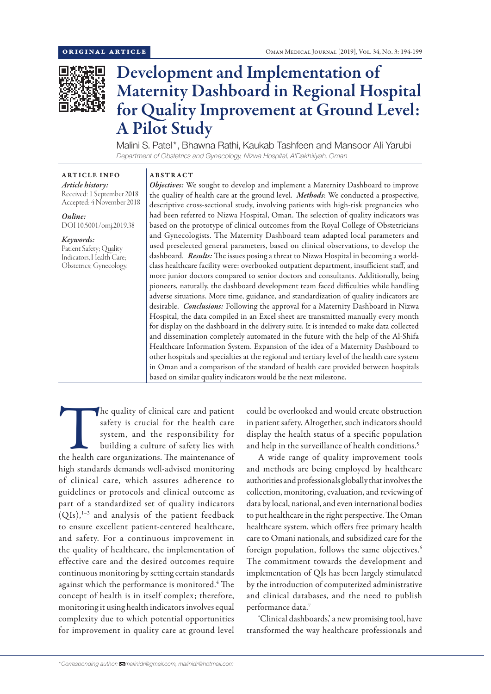

# Development and Implementation of Maternity Dashboard in Regional Hospital for Quality Improvement at Ground Level: A Pilot Study

Malini S. Patel\*, Bhawna Rathi, Kaukab Tashfeen and Mansoor Ali Yarubi *Department of Obstetrics and Gynecology, Nizwa Hospital, A'Dakhiliyah, Oman*

# ARTICLE INFO

*Article history:* Received: 1 September 2018 Accepted: 4 November 2018

*Online:* DOI 10.5001/omj.2019.38

# *Keywords:*

Patient Safety; Quality Indicators, Health Care; Obstetrics; Gynecology.

## ABSTRACT

*Objectives:* We sought to develop and implement a Maternity Dashboard to improve the quality of health care at the ground level. *Methods*: We conducted a prospective, descriptive cross-sectional study, involving patients with high-risk pregnancies who had been referred to Nizwa Hospital, Oman. The selection of quality indicators was based on the prototype of clinical outcomes from the Royal College of Obstetricians and Gynecologists. The Maternity Dashboard team adapted local parameters and used preselected general parameters, based on clinical observations, to develop the dashboard. *Results:* The issues posing a threat to Nizwa Hospital in becoming a worldclass healthcare facility were: overbooked outpatient department, insufficient staff, and more junior doctors compared to senior doctors and consultants. Additionally, being pioneers, naturally, the dashboard development team faced difficulties while handling adverse situations. More time, guidance, and standardization of quality indicators are desirable. *Conclusions:* Following the approval for a Maternity Dashboard in Nizwa Hospital, the data compiled in an Excel sheet are transmitted manually every month for display on the dashboard in the delivery suite. It is intended to make data collected and dissemination completely automated in the future with the help of the Al-Shifa Healthcare Information System. Expansion of the idea of a Maternity Dashboard to other hospitals and specialties at the regional and tertiary level of the health care system in Oman and a comparison of the standard of health care provided between hospitals based on similar quality indicators would be the next milestone.

The quality of clinical care and patient safety is crucial for the health care system, and the responsibility for building a culture of safety lies with the health care organizations. The maintenance of safety is crucial for the health care system, and the responsibility for building a culture of safety lies with high standards demands well-advised monitoring of clinical care, which assures adherence to guidelines or protocols and clinical outcome as part of a standardized set of quality indicators  $(QIs),<sup>1-3</sup>$  and analysis of the patient feedback to ensure excellent patient-centered healthcare, and safety. For a continuous improvement in the quality of healthcare, the implementation of effective care and the desired outcomes require continuous monitoring by setting certain standards against which the performance is monitored.<sup>4</sup> The concept of health is in itself complex; therefore, monitoring it using health indicators involves equal complexity due to which potential opportunities for improvement in quality care at ground level

could be overlooked and would create obstruction in patient safety. Altogether, such indicators should display the health status of a specific population and help in the surveillance of health conditions.<sup>5</sup>

A wide range of quality improvement tools and methods are being employed by healthcare authorities and professionals globally that involves the collection, monitoring, evaluation, and reviewing of data by local, national, and even international bodies to put healthcare in the right perspective. The Oman healthcare system, which offers free primary health care to Omani nationals, and subsidized care for the foreign population, follows the same objectives.<sup>6</sup> The commitment towards the development and implementation of QIs has been largely stimulated by the introduction of computerized administrative and clinical databases, and the need to publish performance data.7

'Clinical dashboards,' a new promising tool, have transformed the way healthcare professionals and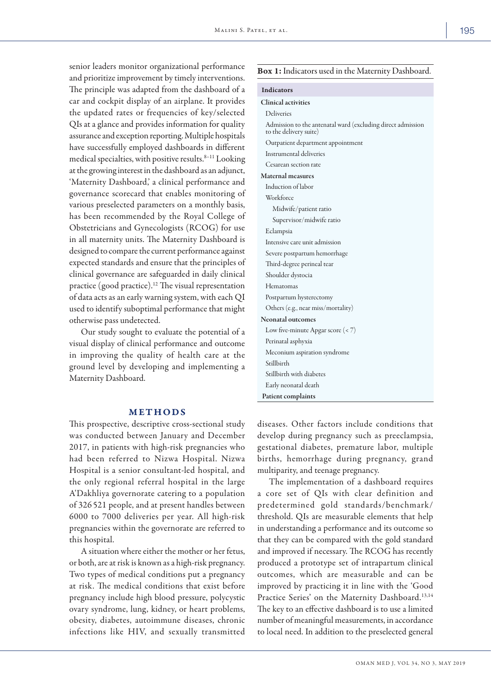senior leaders monitor organizational performance and prioritize improvement by timely interventions. The principle was adapted from the dashboard of a car and cockpit display of an airplane. It provides the updated rates or frequencies of key/selected QIs at a glance and provides information for quality assurance and exception reporting. Multiple hospitals have successfully employed dashboards in different medical specialties, with positive results.<sup>8-11</sup> Looking at the growing interest in the dashboard as an adjunct, 'Maternity Dashboard,' a clinical performance and governance scorecard that enables monitoring of various preselected parameters on a monthly basis, has been recommended by the Royal College of Obstetricians and Gynecologists (RCOG) for use in all maternity units. The Maternity Dashboard is designed to compare the current performance against expected standards and ensure that the principles of clinical governance are safeguarded in daily clinical practice (good practice).12 The visual representation of data acts as an early warning system, with each QI used to identify suboptimal performance that might otherwise pass undetected.

Our study sought to evaluate the potential of a visual display of clinical performance and outcome in improving the quality of health care at the ground level by developing and implementing a Maternity Dashboard.

#### METHODS

This prospective, descriptive cross-sectional study was conducted between January and December 2017, in patients with high-risk pregnancies who had been referred to Nizwa Hospital. Nizwa Hospital is a senior consultant-led hospital, and the only regional referral hospital in the large A'Dakhliya governorate catering to a population of 326 521 people, and at present handles between 6000 to 7000 deliveries per year. All high-risk pregnancies within the governorate are referred to this hospital.

A situation where either the mother or her fetus, or both, are at risk is known as a high-risk pregnancy. Two types of medical conditions put a pregnancy at risk. The medical conditions that exist before pregnancy include high blood pressure, polycystic ovary syndrome, lung, kidney, or heart problems, obesity, diabetes, autoimmune diseases, chronic infections like HIV, and sexually transmitted

#### Box 1: Indicators used in the Maternity Dashboard.

| <b>Indicators</b>                                                                     |
|---------------------------------------------------------------------------------------|
| <b>Clinical activities</b>                                                            |
| Deliveries                                                                            |
| Admission to the antenatal ward (excluding direct admission<br>to the delivery suite) |
| Outpatient department appointment                                                     |
| Instrumental deliveries                                                               |
| Cesarean section rate                                                                 |
| <b>Maternal measures</b>                                                              |
| Induction of labor                                                                    |
| Workforce                                                                             |
| Midwife/patient ratio                                                                 |
| Supervisor/midwife ratio                                                              |
| Eclampsia                                                                             |
| Intensive care unit admission                                                         |
| Severe postpartum hemorrhage                                                          |
| Third-degree perineal tear                                                            |
| Shoulder dystocia                                                                     |
| Hematomas                                                                             |
| Postpartum hysterectomy                                                               |
| Others (e.g., near miss/mortality)                                                    |
| <b>Neonatal outcomes</b>                                                              |
| Low five-minute Apgar score $(< 7)$                                                   |
| Perinatal asphyxia                                                                    |
| Meconium aspiration syndrome                                                          |
| Stillbirth                                                                            |
| Stillbirth with diabetes                                                              |
| Early neonatal death                                                                  |
| Patient complaints                                                                    |

diseases. Other factors include conditions that develop during pregnancy such as preeclampsia, gestational diabetes, premature labor, multiple births, hemorrhage during pregnancy, grand multiparity, and teenage pregnancy.

The implementation of a dashboard requires a core set of QIs with clear definition and predetermined gold standards/benchmark/ threshold. QIs are measurable elements that help in understanding a performance and its outcome so that they can be compared with the gold standard and improved if necessary. The RCOG has recently produced a prototype set of intrapartum clinical outcomes, which are measurable and can be improved by practicing it in line with the 'Good Practice Series' on the Maternity Dashboard.<sup>13,14</sup> The key to an effective dashboard is to use a limited number of meaningful measurements, in accordance to local need. In addition to the preselected general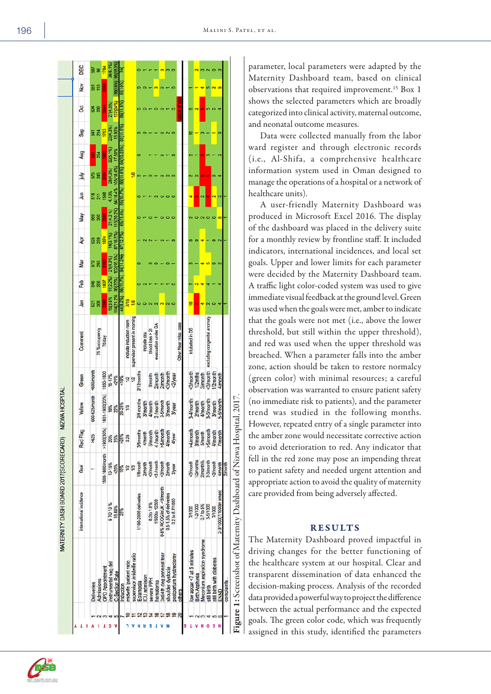| 14(21.2%<br>44(8.2%)<br>15(3.5%<br>7/15<br>岛<br><u>16</u><br>268<br>జ్<br>₽<br>supervisor present in morning<br><3/month excluding congenital anomaly<br>include induction room<br>Other Near miss case<br>evacuation under GA<br>Intubated in DS<br>75 %occupancy<br>blood $loss > 21$<br>include ccu<br>Comment<br><b>TO/day</b><br><600/month<br>2/12months<br><b>Slmonth</b><br><3/month<br>1/2month<br>1550-1600<br>1/2mths<br>2/month<br>2/month<br>3/month<br>15-17%<br><2/year<br>3/month<br>4/mont<br>Green<br>21%<br>861<br>$\frac{12}{2}$<br>1/2<br>1601-1900(20%)<br>600-625/month<br>2/6 months<br>3-4/month<br>3-5/month<br>5-6/mont<br>3-5/month<br>4/month<br>2/month<br>3/month<br>4/month<br>3/month<br>3/month<br>3/month<br>Yellow<br>20-25%<br><b>3/year</b><br><b>18%</b><br>22%<br>1/3<br>$>1900(30\%$<br>3/6months<br>4 /month<br>>5/month<br>4/month<br>>4/month<br>3/month<br>>5/month<br>Red Flag<br><b>S/month</b><br><b>5/month</b><br>4/month<br>4/month<br><b>7/month</b><br>4/year<br>%25%<br>>625<br>20%<br>25%<br>0.25<br>1500-1600/month<br>1/2months<br>2/month%<br>2-3/month<br><3/month<br><2/month<br>1/6month<br><b>Symonth</b><br>3 /month<br><b>3/month</b><br>2/month<br>10-15%<br>2/month<br>4/month<br>$-20%$<br>2/year<br>Goal<br>1/2<br>13<br>15%<br>0-8% RCOG/inUK -< 5/month<br>2-3/1000(7/1000in oman)<br>international incidence<br>0.5-1.5% of deliveries<br>1/100-2000 deliveries<br>0.2 to 8.7/1000<br>1/500to 12500<br>0.3to 1.8%<br>5 TO 13 %<br>1-2/1000<br>0.7 to 5%<br>3-5/1000<br>18.60%<br>7/1000<br>7/1000<br>25%<br>Meconium aspiration syndrome<br>low apgar <7 at 5 minutes<br>supervisor /midwife ratio<br>3rd/4th deg perineal tear<br>postpartum hystrectomy<br>still birth with diabetes<br>midwife /patient ratio<br>instrumental vag del<br><b>OPD Appointment</b><br>shoulder dystocia<br><b>C-Section Rate</b><br><b>Birth Asphyxia</b><br>ICU admision<br>severe PPH<br><b>Admissions</b><br>Eclampsia<br>hematoma<br><b>Deliveries</b><br>Induction<br>still birth<br>others<br>ENND<br>$\frac{9}{20}$<br>≌<br>N<br>в |  |                       |                       |                   |                         |                     |                 |                         |                      |          |
|--------------------------------------------------------------------------------------------------------------------------------------------------------------------------------------------------------------------------------------------------------------------------------------------------------------------------------------------------------------------------------------------------------------------------------------------------------------------------------------------------------------------------------------------------------------------------------------------------------------------------------------------------------------------------------------------------------------------------------------------------------------------------------------------------------------------------------------------------------------------------------------------------------------------------------------------------------------------------------------------------------------------------------------------------------------------------------------------------------------------------------------------------------------------------------------------------------------------------------------------------------------------------------------------------------------------------------------------------------------------------------------------------------------------------------------------------------------------------------------------------------------------------------------------------------------------------------------------------------------------------------------------------------------------------------------------------------------------------------------------------------------------------------------------------------------------------------------------------------------------------------------------------------------------------------------------------------------------------------------------------------------------------------------------------------------------------------------------------|--|-----------------------|-----------------------|-------------------|-------------------------|---------------------|-----------------|-------------------------|----------------------|----------|
|                                                                                                                                                                                                                                                                                                                                                                                                                                                                                                                                                                                                                                                                                                                                                                                                                                                                                                                                                                                                                                                                                                                                                                                                                                                                                                                                                                                                                                                                                                                                                                                                                                                                                                                                                                                                                                                                                                                                                                                                                                                                                                  |  | Nar<br>Feb            | ð                     | <b>May</b>        | 与                       | È                   | <b>Aug</b>      | ğ<br><b>Sep</b>         | $\frac{8}{2}$        | DEC      |
|                                                                                                                                                                                                                                                                                                                                                                                                                                                                                                                                                                                                                                                                                                                                                                                                                                                                                                                                                                                                                                                                                                                                                                                                                                                                                                                                                                                                                                                                                                                                                                                                                                                                                                                                                                                                                                                                                                                                                                                                                                                                                                  |  | <b>578</b><br>\$6     | 525                   | 569               | 518                     |                     | ឨ               | 8d<br>ä                 | ឆ្ល                  | 587      |
|                                                                                                                                                                                                                                                                                                                                                                                                                                                                                                                                                                                                                                                                                                                                                                                                                                                                                                                                                                                                                                                                                                                                                                                                                                                                                                                                                                                                                                                                                                                                                                                                                                                                                                                                                                                                                                                                                                                                                                                                                                                                                                  |  | 206                   | 259                   | 260               | $\overline{z}$          | 245                 | 254             | 286<br>214              | 은                    | 8        |
|                                                                                                                                                                                                                                                                                                                                                                                                                                                                                                                                                                                                                                                                                                                                                                                                                                                                                                                                                                                                                                                                                                                                                                                                                                                                                                                                                                                                                                                                                                                                                                                                                                                                                                                                                                                                                                                                                                                                                                                                                                                                                                  |  | 108                   | 1874                  |                   | <b>S48</b>              |                     | SS <sub>3</sub> | $rac{4}{8}$<br>1753     | <b>2060</b>          | 1784     |
|                                                                                                                                                                                                                                                                                                                                                                                                                                                                                                                                                                                                                                                                                                                                                                                                                                                                                                                                                                                                                                                                                                                                                                                                                                                                                                                                                                                                                                                                                                                                                                                                                                                                                                                                                                                                                                                                                                                                                                                                                                                                                                  |  | 21(4.3%)<br>11(2.2%)  | 14(3.1%)<br>87(16.5%) | 2024<br>21(4.3 %) | 4.10%                   | 28(4.9%)            | 32(5.1%)        | 27(4.5%)<br>23(4.3%)    |                      | 36(6.1%) |
|                                                                                                                                                                                                                                                                                                                                                                                                                                                                                                                                                                                                                                                                                                                                                                                                                                                                                                                                                                                                                                                                                                                                                                                                                                                                                                                                                                                                                                                                                                                                                                                                                                                                                                                                                                                                                                                                                                                                                                                                                                                                                                  |  | 102(18.3%)<br>96(20%) |                       | 115(20.2%)        | 84(16.4%                | 105(18.4%)          | 17.50%          | 137(24%)<br>18.90%      | 99(18%)              | 96(16.3% |
|                                                                                                                                                                                                                                                                                                                                                                                                                                                                                                                                                                                                                                                                                                                                                                                                                                                                                                                                                                                                                                                                                                                                                                                                                                                                                                                                                                                                                                                                                                                                                                                                                                                                                                                                                                                                                                                                                                                                                                                                                                                                                                  |  | 64(11.2%)             | 67(12.7%)             | 65(11.4%          | 55(10.7%)               | 66(11.6%) 64(10.25% | 61(11.5%        | 69(11.5%                | 55(10%               |          |
|                                                                                                                                                                                                                                                                                                                                                                                                                                                                                                                                                                                                                                                                                                                                                                                                                                                                                                                                                                                                                                                                                                                                                                                                                                                                                                                                                                                                                                                                                                                                                                                                                                                                                                                                                                                                                                                                                                                                                                                                                                                                                                  |  |                       |                       |                   |                         |                     |                 |                         |                      |          |
|                                                                                                                                                                                                                                                                                                                                                                                                                                                                                                                                                                                                                                                                                                                                                                                                                                                                                                                                                                                                                                                                                                                                                                                                                                                                                                                                                                                                                                                                                                                                                                                                                                                                                                                                                                                                                                                                                                                                                                                                                                                                                                  |  |                       |                       |                   |                         | <u>si</u>           |                 |                         |                      |          |
|                                                                                                                                                                                                                                                                                                                                                                                                                                                                                                                                                                                                                                                                                                                                                                                                                                                                                                                                                                                                                                                                                                                                                                                                                                                                                                                                                                                                                                                                                                                                                                                                                                                                                                                                                                                                                                                                                                                                                                                                                                                                                                  |  |                       |                       |                   |                         |                     |                 |                         |                      |          |
|                                                                                                                                                                                                                                                                                                                                                                                                                                                                                                                                                                                                                                                                                                                                                                                                                                                                                                                                                                                                                                                                                                                                                                                                                                                                                                                                                                                                                                                                                                                                                                                                                                                                                                                                                                                                                                                                                                                                                                                                                                                                                                  |  |                       |                       |                   |                         |                     |                 |                         |                      |          |
|                                                                                                                                                                                                                                                                                                                                                                                                                                                                                                                                                                                                                                                                                                                                                                                                                                                                                                                                                                                                                                                                                                                                                                                                                                                                                                                                                                                                                                                                                                                                                                                                                                                                                                                                                                                                                                                                                                                                                                                                                                                                                                  |  |                       |                       |                   |                         |                     |                 |                         |                      |          |
|                                                                                                                                                                                                                                                                                                                                                                                                                                                                                                                                                                                                                                                                                                                                                                                                                                                                                                                                                                                                                                                                                                                                                                                                                                                                                                                                                                                                                                                                                                                                                                                                                                                                                                                                                                                                                                                                                                                                                                                                                                                                                                  |  |                       |                       |                   |                         |                     |                 |                         | $\sim$               |          |
|                                                                                                                                                                                                                                                                                                                                                                                                                                                                                                                                                                                                                                                                                                                                                                                                                                                                                                                                                                                                                                                                                                                                                                                                                                                                                                                                                                                                                                                                                                                                                                                                                                                                                                                                                                                                                                                                                                                                                                                                                                                                                                  |  |                       |                       |                   |                         |                     |                 |                         |                      |          |
|                                                                                                                                                                                                                                                                                                                                                                                                                                                                                                                                                                                                                                                                                                                                                                                                                                                                                                                                                                                                                                                                                                                                                                                                                                                                                                                                                                                                                                                                                                                                                                                                                                                                                                                                                                                                                                                                                                                                                                                                                                                                                                  |  |                       |                       |                   |                         |                     |                 |                         |                      |          |
|                                                                                                                                                                                                                                                                                                                                                                                                                                                                                                                                                                                                                                                                                                                                                                                                                                                                                                                                                                                                                                                                                                                                                                                                                                                                                                                                                                                                                                                                                                                                                                                                                                                                                                                                                                                                                                                                                                                                                                                                                                                                                                  |  |                       |                       |                   |                         |                     |                 |                         |                      |          |
|                                                                                                                                                                                                                                                                                                                                                                                                                                                                                                                                                                                                                                                                                                                                                                                                                                                                                                                                                                                                                                                                                                                                                                                                                                                                                                                                                                                                                                                                                                                                                                                                                                                                                                                                                                                                                                                                                                                                                                                                                                                                                                  |  |                       |                       |                   |                         |                     |                 |                         |                      |          |
|                                                                                                                                                                                                                                                                                                                                                                                                                                                                                                                                                                                                                                                                                                                                                                                                                                                                                                                                                                                                                                                                                                                                                                                                                                                                                                                                                                                                                                                                                                                                                                                                                                                                                                                                                                                                                                                                                                                                                                                                                                                                                                  |  |                       |                       |                   |                         |                     |                 |                         |                      |          |
|                                                                                                                                                                                                                                                                                                                                                                                                                                                                                                                                                                                                                                                                                                                                                                                                                                                                                                                                                                                                                                                                                                                                                                                                                                                                                                                                                                                                                                                                                                                                                                                                                                                                                                                                                                                                                                                                                                                                                                                                                                                                                                  |  |                       |                       |                   |                         |                     |                 | œ<br>₽                  |                      |          |
|                                                                                                                                                                                                                                                                                                                                                                                                                                                                                                                                                                                                                                                                                                                                                                                                                                                                                                                                                                                                                                                                                                                                                                                                                                                                                                                                                                                                                                                                                                                                                                                                                                                                                                                                                                                                                                                                                                                                                                                                                                                                                                  |  |                       |                       |                   |                         |                     |                 | $\overline{\mathbf{c}}$ |                      |          |
|                                                                                                                                                                                                                                                                                                                                                                                                                                                                                                                                                                                                                                                                                                                                                                                                                                                                                                                                                                                                                                                                                                                                                                                                                                                                                                                                                                                                                                                                                                                                                                                                                                                                                                                                                                                                                                                                                                                                                                                                                                                                                                  |  |                       |                       |                   |                         | ဖာ                  |                 |                         |                      |          |
|                                                                                                                                                                                                                                                                                                                                                                                                                                                                                                                                                                                                                                                                                                                                                                                                                                                                                                                                                                                                                                                                                                                                                                                                                                                                                                                                                                                                                                                                                                                                                                                                                                                                                                                                                                                                                                                                                                                                                                                                                                                                                                  |  |                       |                       |                   | 6                       |                     |                 |                         | ٠                    |          |
|                                                                                                                                                                                                                                                                                                                                                                                                                                                                                                                                                                                                                                                                                                                                                                                                                                                                                                                                                                                                                                                                                                                                                                                                                                                                                                                                                                                                                                                                                                                                                                                                                                                                                                                                                                                                                                                                                                                                                                                                                                                                                                  |  |                       |                       |                   | $\overline{\mathbf{c}}$ |                     |                 |                         | $\mathbf{\tilde{c}}$ |          |
|                                                                                                                                                                                                                                                                                                                                                                                                                                                                                                                                                                                                                                                                                                                                                                                                                                                                                                                                                                                                                                                                                                                                                                                                                                                                                                                                                                                                                                                                                                                                                                                                                                                                                                                                                                                                                                                                                                                                                                                                                                                                                                  |  |                       |                       |                   |                         |                     |                 |                         |                      |          |
| 2/month<br>complaints.                                                                                                                                                                                                                                                                                                                                                                                                                                                                                                                                                                                                                                                                                                                                                                                                                                                                                                                                                                                                                                                                                                                                                                                                                                                                                                                                                                                                                                                                                                                                                                                                                                                                                                                                                                                                                                                                                                                                                                                                                                                                           |  |                       |                       |                   |                         |                     |                 |                         |                      |          |

parameter, local parameters were adapted by the Maternity Dashboard team, based on clinical observations that required improvement.15 Box 1 shows the selected parameters which are broadly categorized into clinical activity, maternal outcome, and neonatal outcome measures.

Data were collected manually from the labor ward register and through electronic records (i.e., Al-Shifa, a comprehensive healthcare information system used in Oman designed to manage the operations of a hospital or a network of healthcare units).

A user-friendly Maternity Dashboard was produced in Microsoft Excel 2016. The display of the dashboard was placed in the delivery suite for a monthly review by frontline staff. It included indicators, international incidences, and local set goals. Upper and lower limits for each parameter were decided by the Maternity Dashboard team. A traffic light color-coded system was used to give immediate visual feedback at the ground level. Green was used when the goals were met, amber to indicate that the goals were not met (i.e., above the lower threshold, but still within the upper threshold), and red was used when the upper threshold was breached. When a parameter falls into the amber zone, action should be taken to restore normalcy (green color) with minimal resources; a careful observation was warranted to ensure patient safety (no immediate risk to patients), and the parameter trend was studied in the following months. However, repeated entry of a single parameter into the amber zone would necessitate corrective action to avoid deterioration to red. Any indicator that fell in the red zone may pose an impending threat to patient safety and needed urgent attention and appropriate action to avoid the quality of maternity care provided from being adversely affected.

# RESULTS

The Maternity Dashboard proved impactful in driving changes for the better functioning of the healthcare system at our hospital. Clear and transparent dissemination of data enhanced the decision-making process. Analysis of the recorded data provided a powerful way to project the difference between the actual performance and the expected goals. The green color code, which was frequently assigned in this study, identified the parameters

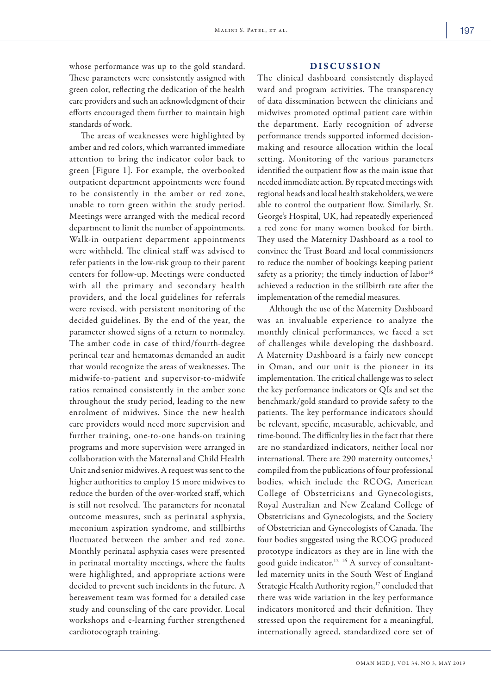# DISCUSSION

whose performance was up to the gold standard. These parameters were consistently assigned with green color, reflecting the dedication of the health care providers and such an acknowledgment of their efforts encouraged them further to maintain high standards of work.

The areas of weaknesses were highlighted by amber and red colors, which warranted immediate attention to bring the indicator color back to green [Figure 1]. For example, the overbooked outpatient department appointments were found to be consistently in the amber or red zone, unable to turn green within the study period. Meetings were arranged with the medical record department to limit the number of appointments. Walk-in outpatient department appointments were withheld. The clinical staff was advised to refer patients in the low-risk group to their parent centers for follow-up. Meetings were conducted with all the primary and secondary health providers, and the local guidelines for referrals were revised, with persistent monitoring of the decided guidelines. By the end of the year, the parameter showed signs of a return to normalcy. The amber code in case of third/fourth-degree perineal tear and hematomas demanded an audit that would recognize the areas of weaknesses. The midwife-to-patient and supervisor-to-midwife ratios remained consistently in the amber zone throughout the study period, leading to the new enrolment of midwives. Since the new health care providers would need more supervision and further training, one-to-one hands-on training programs and more supervision were arranged in collaboration with the Maternal and Child Health Unit and senior midwives. A request was sent to the higher authorities to employ 15 more midwives to reduce the burden of the over-worked staff, which is still not resolved. The parameters for neonatal outcome measures, such as perinatal asphyxia, meconium aspiration syndrome, and stillbirths fluctuated between the amber and red zone. Monthly perinatal asphyxia cases were presented in perinatal mortality meetings, where the faults were highlighted, and appropriate actions were decided to prevent such incidents in the future. A bereavement team was formed for a detailed case study and counseling of the care provider. Local workshops and e-learning further strengthened cardiotocograph training.

The clinical dashboard consistently displayed ward and program activities. The transparency of data dissemination between the clinicians and midwives promoted optimal patient care within the department. Early recognition of adverse performance trends supported informed decisionmaking and resource allocation within the local setting. Monitoring of the various parameters identified the outpatient flow as the main issue that needed immediate action. By repeated meetings with regional heads and local health stakeholders, we were able to control the outpatient flow. Similarly, St. George's Hospital, UK, had repeatedly experienced a red zone for many women booked for birth. They used the Maternity Dashboard as a tool to convince the Trust Board and local commissioners to reduce the number of bookings keeping patient safety as a priority; the timely induction of labor<sup>16</sup> achieved a reduction in the stillbirth rate after the implementation of the remedial measures.

Although the use of the Maternity Dashboard was an invaluable experience to analyze the monthly clinical performances, we faced a set of challenges while developing the dashboard. A Maternity Dashboard is a fairly new concept in Oman, and our unit is the pioneer in its implementation. The critical challenge was to select the key performance indicators or QIs and set the benchmark/gold standard to provide safety to the patients. The key performance indicators should be relevant, specific, measurable, achievable, and time-bound. The difficulty lies in the fact that there are no standardized indicators, neither local nor international. There are 290 maternity outcomes,<sup>1</sup> compiled from the publications of four professional bodies, which include the RCOG, American College of Obstetricians and Gynecologists, Royal Australian and New Zealand College of Obstetricians and Gynecologists, and the Society of Obstetrician and Gynecologists of Canada. The four bodies suggested using the RCOG produced prototype indicators as they are in line with the good guide indicator.12–16 A survey of consultantled maternity units in the South West of England Strategic Health Authority region,<sup>17</sup> concluded that there was wide variation in the key performance indicators monitored and their definition. They stressed upon the requirement for a meaningful, internationally agreed, standardized core set of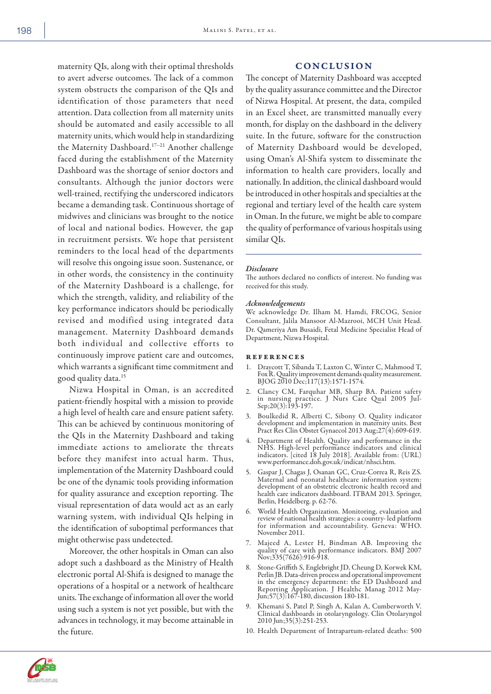maternity QIs, along with their optimal thresholds to avert adverse outcomes. The lack of a common system obstructs the comparison of the QIs and identification of those parameters that need attention. Data collection from all maternity units should be automated and easily accessible to all maternity units, which would help in standardizing the Maternity Dashboard.17–21 Another challenge faced during the establishment of the Maternity Dashboard was the shortage of senior doctors and consultants. Although the junior doctors were well-trained, rectifying the underscored indicators became a demanding task. Continuous shortage of midwives and clinicians was brought to the notice of local and national bodies. However, the gap in recruitment persists. We hope that persistent reminders to the local head of the departments will resolve this ongoing issue soon. Sustenance, or in other words, the consistency in the continuity of the Maternity Dashboard is a challenge, for which the strength, validity, and reliability of the key performance indicators should be periodically revised and modified using integrated data management. Maternity Dashboard demands both individual and collective efforts to continuously improve patient care and outcomes, which warrants a significant time commitment and good quality data.15

Nizwa Hospital in Oman, is an accredited patient-friendly hospital with a mission to provide a high level of health care and ensure patient safety. This can be achieved by continuous monitoring of the QIs in the Maternity Dashboard and taking immediate actions to ameliorate the threats before they manifest into actual harm. Thus, implementation of the Maternity Dashboard could be one of the dynamic tools providing information for quality assurance and exception reporting. The visual representation of data would act as an early warning system, with individual QIs helping in the identification of suboptimal performances that might otherwise pass undetected.

Moreover, the other hospitals in Oman can also adopt such a dashboard as the Ministry of Health electronic portal Al-Shifa is designed to manage the operations of a hospital or a network of healthcare units. The exchange of information all over the world using such a system is not yet possible, but with the advances in technology, it may become attainable in the future.

# CONCLUSION

The concept of Maternity Dashboard was accepted by the quality assurance committee and the Director of Nizwa Hospital. At present, the data, compiled in an Excel sheet, are transmitted manually every month, for display on the dashboard in the delivery suite. In the future, software for the construction of Maternity Dashboard would be developed, using Oman's Al-Shifa system to disseminate the information to health care providers, locally and nationally. In addition, the clinical dashboard would be introduced in other hospitals and specialties at the regional and tertiary level of the health care system in Oman. In the future, we might be able to compare the quality of performance of various hospitals using similar QIs.

#### *Disclosure*

The authors declared no conflicts of interest. No funding was received for this study.

#### *Acknowledgements*

We acknowledge Dr. Ilham M. Hamdi, FRCOG, Senior Consultant, Jalila Mansoor Al-Mazrooi, MCH Unit Head. Dr. Qameriya Am Busaidi, Fetal Medicine Specialist Head of Department, Nizwa Hospital.

#### references

- 1. Draycott T, Sibanda T, Laxton C, Winter C, Mahmood T, Fox R. Quality improvement demands quality measurement. BJOG 2010 Dec;117(13):1571-1574.
- 2. Clancy CM, Farquhar MB, Sharp BA. Patient safety in nursing practice. J Nurs Care Qual 2005 Jul-Sep;20(3):193-197.
- 3. Boulkedid R, Alberti C, Sibony O. Quality indicator development and implementation in maternity units. Best Pract Res Clin Obstet Gynaecol 2013 Aug;27(4):609-619.
- 4. Department of Health. Quality and performance in the NHS. High-level performance indicators and clinical indicators. [cited 18 July 2018]. Available from: (URL) www.performance.doh.gov.uk/indicat/nhsci.htm.
- 5. Gaspar J, Chagas J, Osanan GC, Cruz-Correa R, Reis ZS. Maternal and neonatal healthcare information system: development of an obstetric electronic health record and health care indicators dashboard. ITBAM 2013. Springer, Berlin, Heidelberg. p. 62-76.
- 6. World Health Organization. Monitoring, evaluation and review of national health strategies: a country- led platform for information and accountability. Geneva: WHO. November 2011.
- 7. Majeed A, Lester H, Bindman AB. Improving the quality of care with performance indicators. BMJ 2007  $Nov; 335(7626): 916-918.$
- 8. Stone-Griffith S, Englebright JD, Cheung D, Korwek KM, Perlin JB. Data-driven process and operational improvement in the emergency department: the ED Dashboard and Reporting Application. J Healthc Manag 2012 May-Jun;57(3):167-180, discussion 180-181.
- 9. Khemani S, Patel P, Singh A, Kalan A, Cumberworth V. Clinical dashboards in otolaryngology. Clin Otolaryngol 2010 Jun;35(3):251-253.
- 10. Health Department of Intrapartum-related deaths: 500